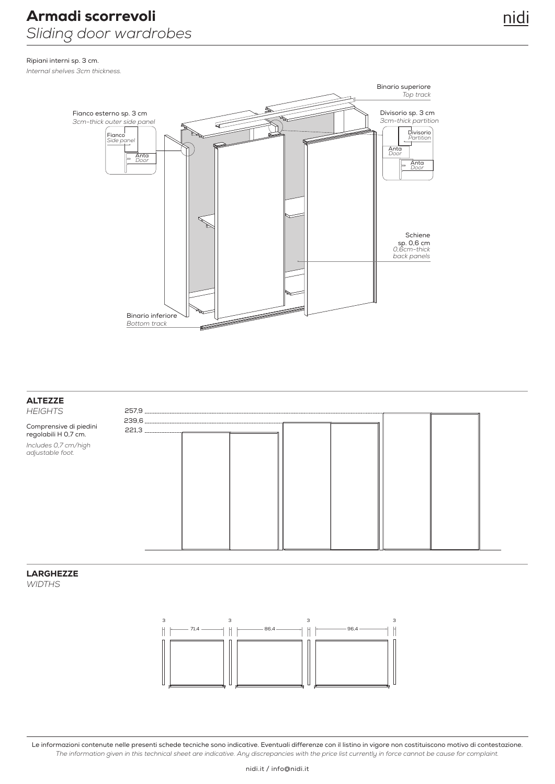Ripiani interni sp. 3 cm. *Internal shelves 3cm thickness.*



#### **ALTEZZE**

*HEIGHTS*

Comprensive di piedini regolabili H 0,7 cm. *Includes 0,7 cm/high adjustable foot.*



#### LARGHEZZE

*WIDTHS*



Le informazioni contenute nelle presenti schede tecniche sono indicative. Eventuali differenze con il listino in vigore non costituiscono motivo di contestazione. *The information given in this technical sheet are indicative. Any discrepancies with the price list currently in force cannot be cause for complaint.*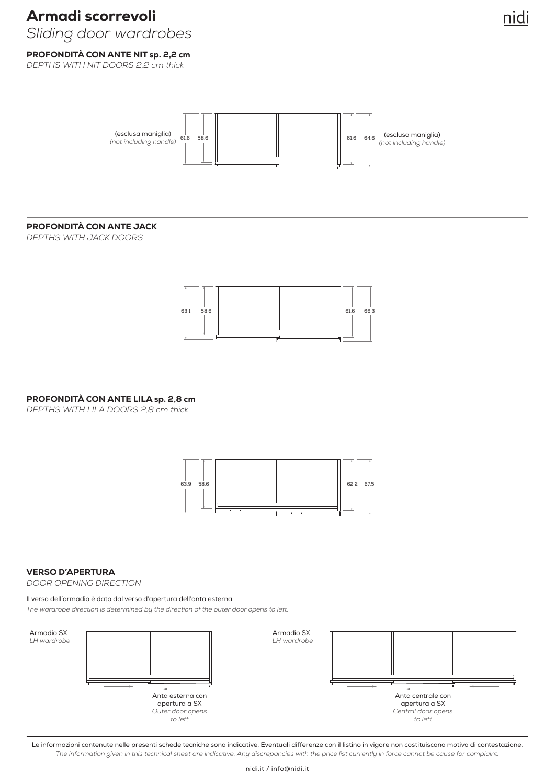# Armadi scorrevoli

### *Sliding door wardrobes*

PROFONDITÀ CON ANTE NIT sp. 2,2 cm *DEPTHS WITH NIT DOORS 2,2 cm thick*



#### PROFONDITÀ CON ANTE JACK

*DEPTHS WITH JACK DOORS*



#### PROFONDITÀ CON ANTE LILA sp. 2,8 cm

*DEPTHS WITH LILA DOORS 2,8 cm thick*



#### VERSO D'APERTURA

*DOOR OPENING DIRECTION*

#### Il verso dell'armadio è dato dal verso d'apertura dell'anta esterna.

*The wardrobe direction is determined by the direction of the outer door opens to left.*



Le informazioni contenute nelle presenti schede tecniche sono indicative. Eventuali differenze con il listino in vigore non costituiscono motivo di contestazione. *The information given in this technical sheet are indicative. Any discrepancies with the price list currently in force cannot be cause for complaint.*